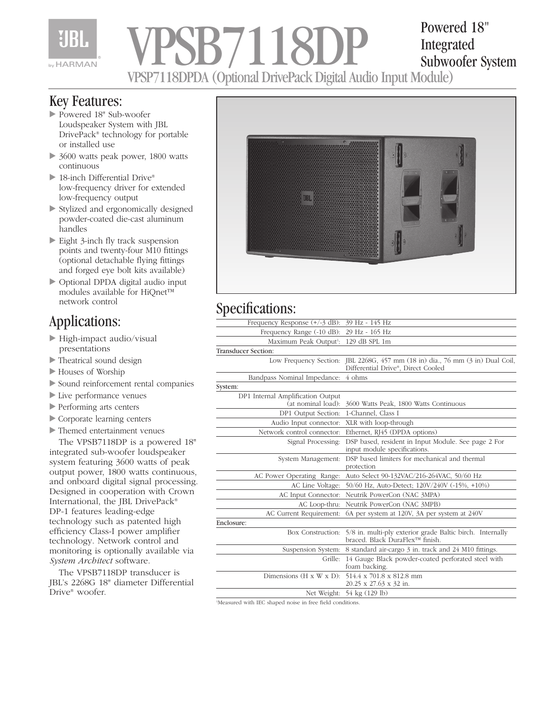

# $\mathbf{B}/\mathbf{1}$  $\mathbf{B}$  $\mathbf{D}$ **P** Integrated Subwoofer System

## Powered 18"

VPSP7118DPDA (Optional DrivePack Digital Audio Input Module)

## Key Features:

- Powered 18" Sub-woofer Loudspeaker System with JBL DrivePack® technology for portable or installed use
- ► 3600 watts peak power, 1800 watts continuous
- ▶ 18-inch Differential Drive® low-frequency driver for extended low-frequency output
- Stylized and ergonomically designed powder-coated die-cast aluminum handles
- Eight 3-inch fly track suspension points and twenty-four M10 fittings (optional detachable flying fittings and forged eye bolt kits available)
- Optional DPDA digital audio input modules available for HiQnet™ network control

## Applications:

- High-impact audio/visual presentations
- Theatrical sound design
- Houses of Worship
- Sound reinforcement rental companies
- Live performance venues
- Performing arts centers
- Corporate learning centers
- Themed entertainment venues

The VPSB7118DP is a powered 18" integrated sub-woofer loudspeaker system featuring 3600 watts of peak output power, 1800 watts continuous, and onboard digital signal processing. Designed in cooperation with Crown International, the JBL DrivePack® DP-1 features leading-edge technology such as patented high efficiency Class-I power amplifier technology. Network control and monitoring is optionally available via *System Architect* software.

The VPSB7118DP transducer is JBL's 2268G 18" diameter Differential Drive® woofer.



## Specifications:

| Frequency Response $(+/-3$ dB): 39 Hz - 145 Hz          |                                                                                                                      |
|---------------------------------------------------------|----------------------------------------------------------------------------------------------------------------------|
| Frequency Range (-10 dB): 29 Hz - 165 Hz                |                                                                                                                      |
| Maximum Peak Output <sup>1</sup> : 129 dB SPL 1m        |                                                                                                                      |
| Transducer Section:                                     |                                                                                                                      |
|                                                         | Low Frequency Section: JBL 2268G, 457 mm (18 in) dia., 76 mm (3 in) Dual Coil,<br>Differential Drive®, Direct Cooled |
| Bandpass Nominal Impedance:                             | 4 ohms                                                                                                               |
| System:                                                 |                                                                                                                      |
| DP1 Internal Amplification Output<br>(at nominal load): | 3600 Watts Peak, 1800 Watts Continuous                                                                               |
| DP1 Output Section:                                     | 1-Channel, Class I                                                                                                   |
| Audio Input connector:                                  | XLR with loop-through                                                                                                |
| Network control connector:                              | Ethernet, RJ45 (DPDA options)                                                                                        |
| Signal Processing:                                      | DSP based, resident in Input Module. See page 2 For<br>input module specifications.                                  |
| System Management:                                      | DSP based limiters for mechanical and thermal<br>protection                                                          |
| AC Power Operating Range:                               | Auto Select 90-132VAC/216-264VAC, 50/60 Hz                                                                           |
| AC Line Voltage:                                        | 50/60 Hz, Auto-Detect; 120V/240V (-15%, +10%)                                                                        |
| AC Input Connector:                                     | Neutrik PowerCon (NAC 3MPA)                                                                                          |
| AC Loop-thru:                                           | Neutrik PowerCon (NAC 3MPB)                                                                                          |
| AC Current Requirement:                                 | 6A per system at 120V, 3A per system at 240V                                                                         |
| Enclosure:                                              |                                                                                                                      |
|                                                         | Box Construction: 5/8 in. multi-ply exterior grade Baltic birch. Internally<br>braced. Black DuraFlex™ finish.       |
| Suspension System:                                      | 8 standard air-cargo 3 in. track and 24 M10 fittings.                                                                |
| Grille:                                                 | 14 Gauge Black powder-coated perforated steel with<br>foam backing.                                                  |
| Dimensions ( $H \times W \times D$ ):                   | 514.4 x 701.8 x 812.8 mm<br>20.25 x 27.63 x 32 in.                                                                   |
|                                                         | Net Weight: 54 kg (129 lb)                                                                                           |
| <b>I</b> stream I I can controlled                      |                                                                                                                      |

1 Measured with IEC shaped noise in free field conditions.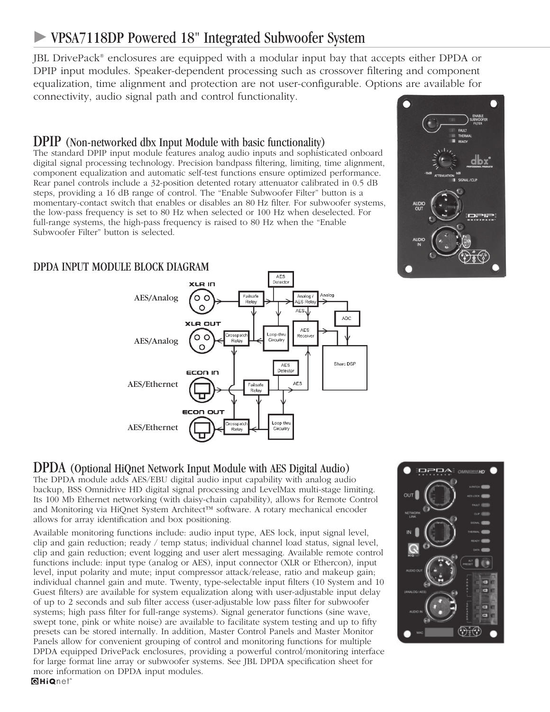## - VPSA7118DP Powered 18" Integrated Subwoofer System

JBL DrivePack® enclosures are equipped with a modular input bay that accepts either DPDA or DPIP input modules. Speaker-dependent processing such as crossover filtering and component equalization, time alignment and protection are not user-configurable. Options are available for connectivity, audio signal path and control functionality.

#### DPIP (Non-networked dbx Input Module with basic functionality)

The standard DPIP input module features analog audio inputs and sophisticated onboard digital signal processing technology. Precision bandpass filtering, limiting, time alignment, component equalization and automatic self-test functions ensure optimized performance. Rear panel controls include a 32-position detented rotary attenuator calibrated in 0.5 dB steps, providing a 16 dB range of control. The "Enable Subwoofer Filter" button is a momentary-contact switch that enables or disables an 80 Hz filter. For subwoofer systems, the low-pass frequency is set to 80 Hz when selected or 100 Hz when deselected. For full-range systems, the high-pass frequency is raised to 80 Hz when the "Enable Subwoofer Filter" button is selected.





#### DPDA (Optional HiQnet Network Input Module with AES Digital Audio)

The DPDA module adds AES/EBU digital audio input capability with analog audio backup, BSS Omnidrive HD digital signal processing and LevelMax multi-stage limiting. Its 100 Mb Ethernet networking (with daisy-chain capability), allows for Remote Control and Monitoring via HiQnet System Architect™ software. A rotary mechanical encoder allows for array identification and box positioning.

Available monitoring functions include: audio input type, AES lock, input signal level, clip and gain reduction; ready / temp status; individual channel load status, signal level, clip and gain reduction; event logging and user alert messaging. Available remote control functions include: input type (analog or AES), input connector (XLR or Ethercon), input level, input polarity and mute; input compressor attack/release, ratio and makeup gain; individual channel gain and mute. Twenty, type-selectable input filters (10 System and 10 Guest filters) are available for system equalization along with user-adjustable input delay of up to 2 seconds and sub filter access (user-adjustable low pass filter for subwoofer systems; high pass filter for full-range systems). Signal generator functions (sine wave, swept tone, pink or white noise) are available to facilitate system testing and up to fifty presets can be stored internally. In addition, Master Control Panels and Master Monitor Panels allow for convenient grouping of control and monitoring functions for multiple DPDA equipped DrivePack enclosures, providing a powerful control/monitoring interface for large format line array or subwoofer systems. See JBL DPDA specification sheet for more information on DPDA input modules.<br> **GHiQnet**\*

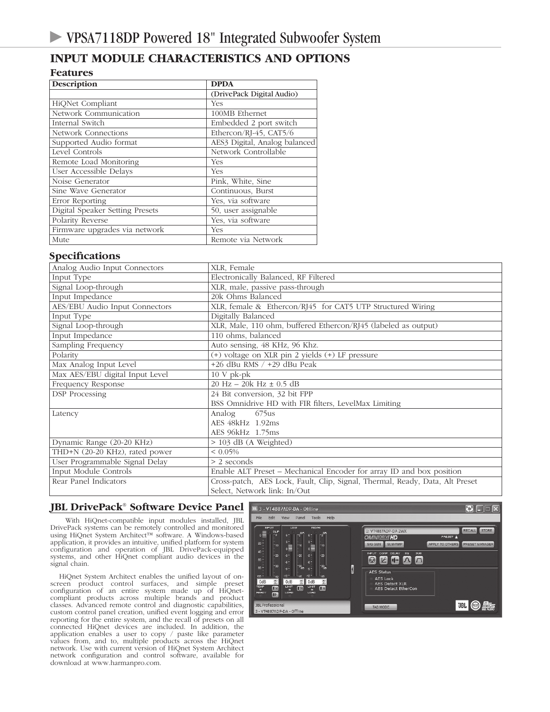### **INPUT MODULE CHARACTERISTICS AND OPTIONS**

#### **Features**

| Description                     | <b>DPDA</b>                   |
|---------------------------------|-------------------------------|
|                                 | (DrivePack Digital Audio)     |
| HiQNet Compliant                | Yes                           |
| Network Communication           | 100MB Ethernet                |
| Internal Switch                 | Embedded 2 port switch        |
| Network Connections             | Ethercon/RJ-45, CAT5/6        |
| Supported Audio format          | AES3 Digital, Analog balanced |
| Level Controls                  | Network Controllable          |
| Remote Load Monitoring          | <b>Yes</b>                    |
| User Accessible Delays          | Yes                           |
| Noise Generator                 | Pink, White, Sine             |
| Sine Wave Generator             | Continuous, Burst             |
| Error Reporting                 | Yes, via software             |
| Digital Speaker Setting Presets | 50, user assignable           |
| Polarity Reverse                | Yes, via software             |
| Firmware upgrades via network   | Yes                           |
| Mute                            | Remote via Network            |

#### **Specifications**

| Analog Audio Input Connectors   | XLR, Female                                                                  |
|---------------------------------|------------------------------------------------------------------------------|
| Input Type                      | Electronically Balanced, RF Filtered                                         |
| Signal Loop-through             | XLR, male, passive pass-through                                              |
| Input Impedance                 | 20k Ohms Balanced                                                            |
| AES/EBU Audio Input Connectors  | XLR, female & Ethercon/RJ45 for CAT5 UTP Structured Wiring                   |
| Input Type                      | Digitally Balanced                                                           |
| Signal Loop-through             | XLR, Male, 110 ohm, buffered Ethercon/RJ45 (labeled as output)               |
| Input Impedance                 | 110 ohms, balanced                                                           |
| Sampling Frequency              | Auto sensing, 48 KHz, 96 Khz.                                                |
| Polarity                        | (+) voltage on XLR pin 2 yields (+) LF pressure                              |
| Max Analog Input Level          | +26 dBu RMS / +29 dBu Peak                                                   |
| Max AES/EBU digital Input Level | $10 \text{ V}$ pk-pk                                                         |
| Frequency Response              | $20$ Hz $ 20k$ Hz $\pm$ 0.5 dB                                               |
| <b>DSP</b> Processing           | 24 Bit conversion, 32 bit FPP                                                |
|                                 | BSS Omnidrive HD with FIR filters, LevelMax Limiting                         |
| Latency                         | Analog<br>675us                                                              |
|                                 | AES 48kHz 1.92ms                                                             |
|                                 | AES 96kHz 1.75ms                                                             |
| Dynamic Range (20-20 KHz)       | $> 103$ dB (A Weighted)                                                      |
| THD+N (20-20 KHz), rated power  | $< 0.05\%$                                                                   |
| User Programmable Signal Delay  | $> 2$ seconds                                                                |
| Input Module Controls           | Enable ALT Preset – Mechanical Encoder for array ID and box position         |
| Rear Panel Indicators           | Cross-patch, AES Lock, Fault, Clip, Signal, Thermal, Ready, Data, Alt Preset |
|                                 | Select, Network link: In/Out                                                 |
|                                 |                                                                              |

#### **JBL DrivePack® Software Device Panel**

With HiQnet-compatible input modules installed, JBL DrivePack systems can be remotely controlled and monitored using HiQnet System Architect™ software. A Windows-based application, it provides an intuitive, unified platform for system configuration and operation of JBL DrivePack-equipped systems, and other HiQnet compliant audio devices in the signal chain.

HiQnet System Architect enables the unified layout of onscreen product control surfaces, and simple preset configuration of an entire system made up of HiQnetcompliant products across multiple brands and product classes. Advanced remote control and diagnostic capabilities, custom control panel creation, unified event logging and error reporting for the entire system, and the recall of presets on all connected HiQnet devices are included. In addition, the application enables a user to copy / paste like parameter values from, and to, multiple products across the HiQnet network. Use with current version of HiQnet System Architect network configuration and control software, available for download at www.harmanpro.com.